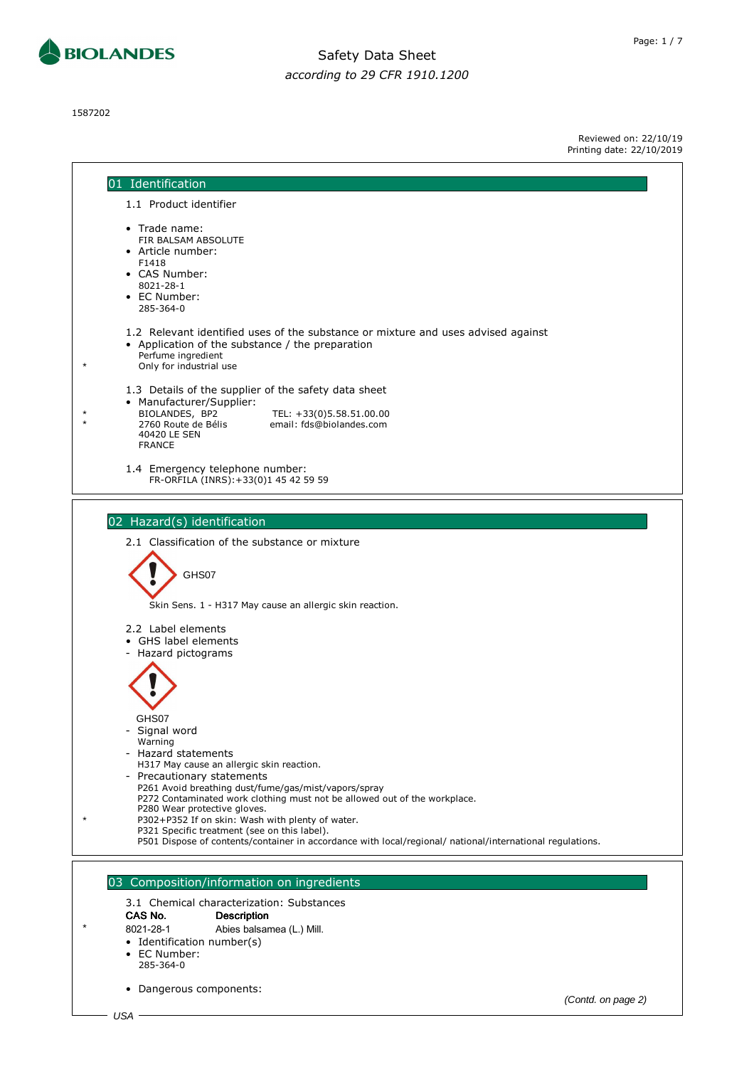

1587202

Page: 1 / 7

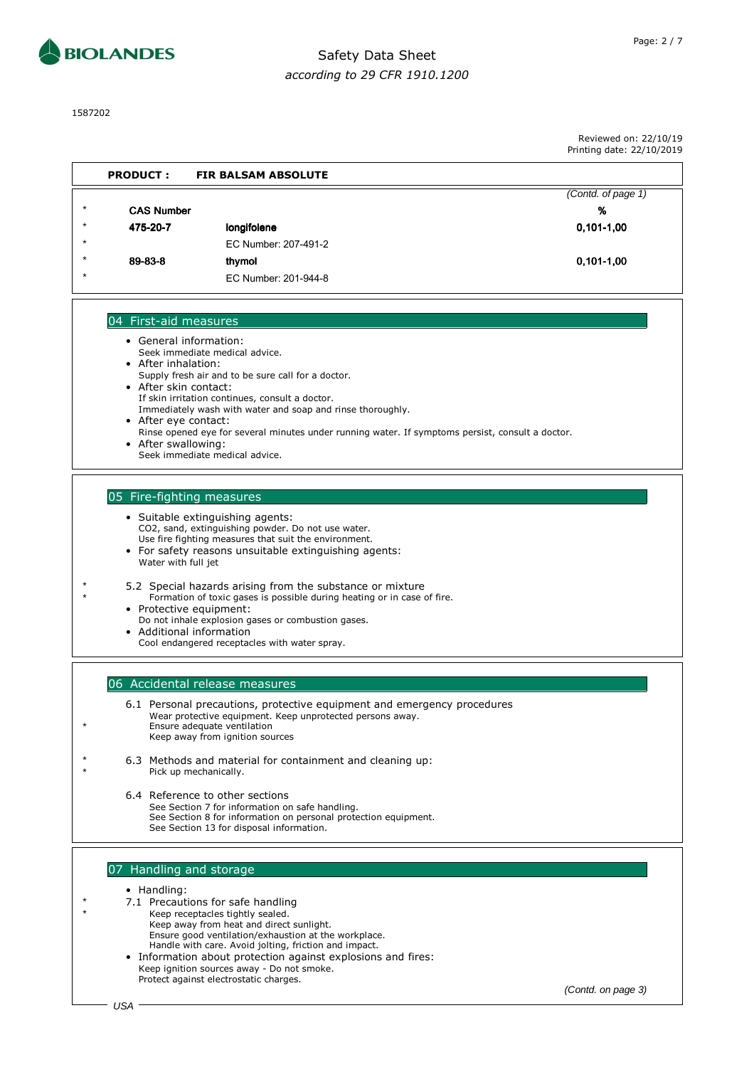



1587202

Reviewed on: 22/10/19 Printing date: 22/10/2019

|         | <b>PRODUCT:</b>   | <b>FIR BALSAM ABSOLUTE</b> |                    |
|---------|-------------------|----------------------------|--------------------|
|         |                   |                            | (Contd. of page 1) |
| $\star$ | <b>CAS Number</b> |                            | %                  |
| $\star$ | 475-20-7          | longifolene                | $0.101 - 1.00$     |
| $\star$ |                   | EC Number: 207-491-2       |                    |
| $\star$ | 89-83-8           | thymol                     | $0,101-1,00$       |
| $\star$ |                   | EC Number: 201-944-8       |                    |

#### 04 First-aid measures

- General information: Seek immediate medical advice. • After inhalation: Supply fresh air and to be sure call for a doctor. • After skin contact: If skin irritation continues, consult a doctor.
	- Immediately wash with water and soap and rinse thoroughly.
- After eye contact: Rinse opened eye for several minutes under running water. If symptoms persist, consult a doctor. • After swallowing:
- Seek immediate medical advice.

### 05 Fire-fighting measures

Water with full jet

- Suitable extinguishing agents: CO2, sand, extinguishing powder. Do not use water. Use fire fighting measures that suit the environment. • For safety reasons unsuitable extinguishing agents:
- \* 5.2 Special hazards arising from the substance or mixture Formation of toxic gases is possible during heating or in case of fire.
	- Protective equipment: Do not inhale explosion gases or combustion gases.
	- Additional information
	- Cool endangered receptacles with water spray.

### 06 Accidental release measures

- 6.1 Personal precautions, protective equipment and emergency procedures Wear protective equipment. Keep unprotected persons away. Ensure adequate ventilation Keep away from ignition sources
- 6.3 Methods and material for containment and cleaning up: Pick up mechanically.
	- 6.4 Reference to other sections See Section 7 for information on safe handling. See Section 8 for information on personal protection equipment. See Section 13 for disposal information.

#### 07 Handling and storage

#### • Handling:

- \* 7.1 Precautions for safe handling
	- Keep receptacles tightly sealed.
		- Keep away from heat and direct sunlight.
		- Ensure good ventilation/exhaustion at the workplace. Handle with care. Avoid jolting, friction and impact.
	- Information about protection against explosions and fires: Keep ignition sources away - Do not smoke. Protect against electrostatic charges.

(Contd. on page 3)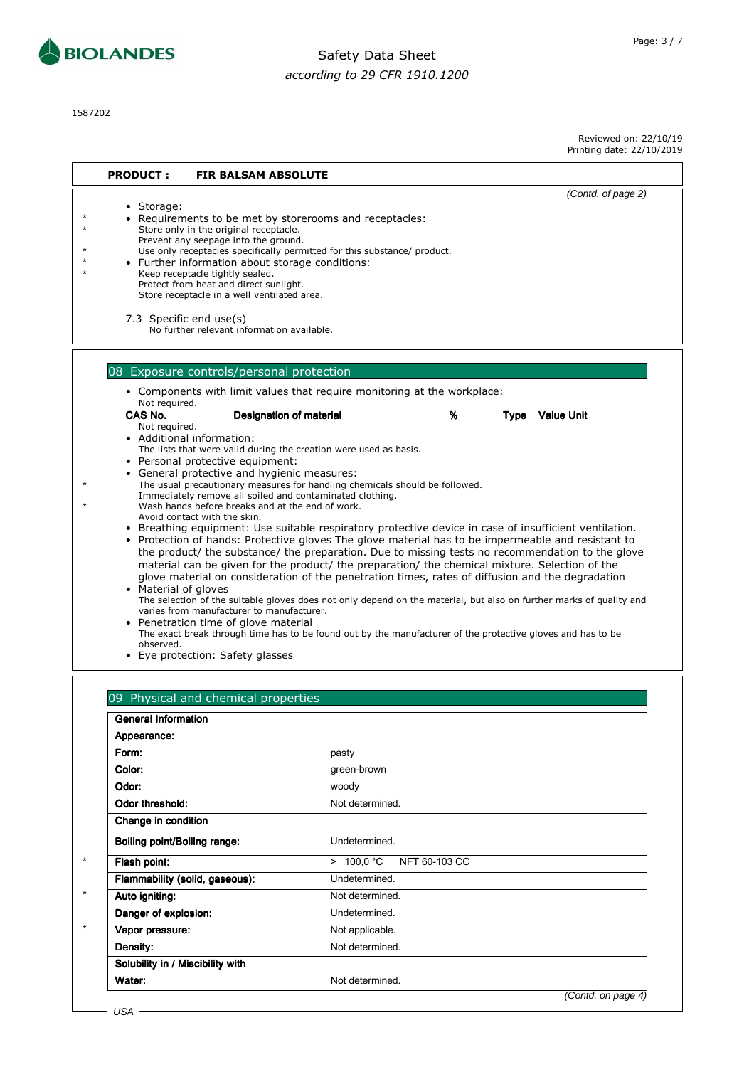

1587202

| <b>PRODUCT:</b>                                                                                                                                                                                                                                             | <b>FIR BALSAM ABSOLUTE</b>                                                                                                                                                                                                                                                                                                                                                                                                                                                                                                                                                                                                                                                                                                                                                                                                                                                                                                                                                                                                                                                                                                                                                                                                                                                      |   |                        |                    |
|-------------------------------------------------------------------------------------------------------------------------------------------------------------------------------------------------------------------------------------------------------------|---------------------------------------------------------------------------------------------------------------------------------------------------------------------------------------------------------------------------------------------------------------------------------------------------------------------------------------------------------------------------------------------------------------------------------------------------------------------------------------------------------------------------------------------------------------------------------------------------------------------------------------------------------------------------------------------------------------------------------------------------------------------------------------------------------------------------------------------------------------------------------------------------------------------------------------------------------------------------------------------------------------------------------------------------------------------------------------------------------------------------------------------------------------------------------------------------------------------------------------------------------------------------------|---|------------------------|--------------------|
| • Storage:<br>Store only in the original receptacle.<br>Prevent any seepage into the ground.<br>Keep receptacle tightly sealed.<br>Protect from heat and direct sunlight.<br>7.3 Specific end use(s)                                                        | • Requirements to be met by storerooms and receptacles:<br>Use only receptacles specifically permitted for this substance/ product.<br>• Further information about storage conditions:<br>Store receptacle in a well ventilated area.<br>No further relevant information available.                                                                                                                                                                                                                                                                                                                                                                                                                                                                                                                                                                                                                                                                                                                                                                                                                                                                                                                                                                                             |   |                        | (Contd. of page 2) |
| Not required.<br>CAS No.<br>Not required.<br>• Additional information:<br>• Personal protective equipment:<br>Avoid contact with the skin.<br>• Material of gloves<br>• Penetration time of glove material<br>observed.<br>• Eye protection: Safety glasses | 08 Exposure controls/personal protection<br>• Components with limit values that require monitoring at the workplace:<br>Designation of material<br>The lists that were valid during the creation were used as basis.<br>• General protective and hygienic measures:<br>The usual precautionary measures for handling chemicals should be followed.<br>Immediately remove all soiled and contaminated clothing.<br>Wash hands before breaks and at the end of work.<br>• Breathing equipment: Use suitable respiratory protective device in case of insufficient ventilation.<br>• Protection of hands: Protective gloves The glove material has to be impermeable and resistant to<br>the product/ the substance/ the preparation. Due to missing tests no recommendation to the glove<br>material can be given for the product/ the preparation/ the chemical mixture. Selection of the<br>glove material on consideration of the penetration times, rates of diffusion and the degradation<br>The selection of the suitable gloves does not only depend on the material, but also on further marks of quality and<br>varies from manufacturer to manufacturer.<br>The exact break through time has to be found out by the manufacturer of the protective gloves and has to be | % | <b>Type</b> Value Unit |                    |
| 09 Physical and chemical properties<br><b>General Information</b><br>Appearance:<br>Form:<br>Color:<br>Odor:<br>Odor throphold:                                                                                                                             | pasty<br>green-brown<br>woody<br>Not dotorminad                                                                                                                                                                                                                                                                                                                                                                                                                                                                                                                                                                                                                                                                                                                                                                                                                                                                                                                                                                                                                                                                                                                                                                                                                                 |   |                        |                    |

| Undetermined.<br>> 100.0 °C NFT 60-103 CC |
|-------------------------------------------|
|                                           |
|                                           |
|                                           |
| Undetermined.                             |
| Not determined.                           |
| Undetermined.                             |
| Not applicable.                           |
| Not determined.                           |
|                                           |
| Not determined.                           |
|                                           |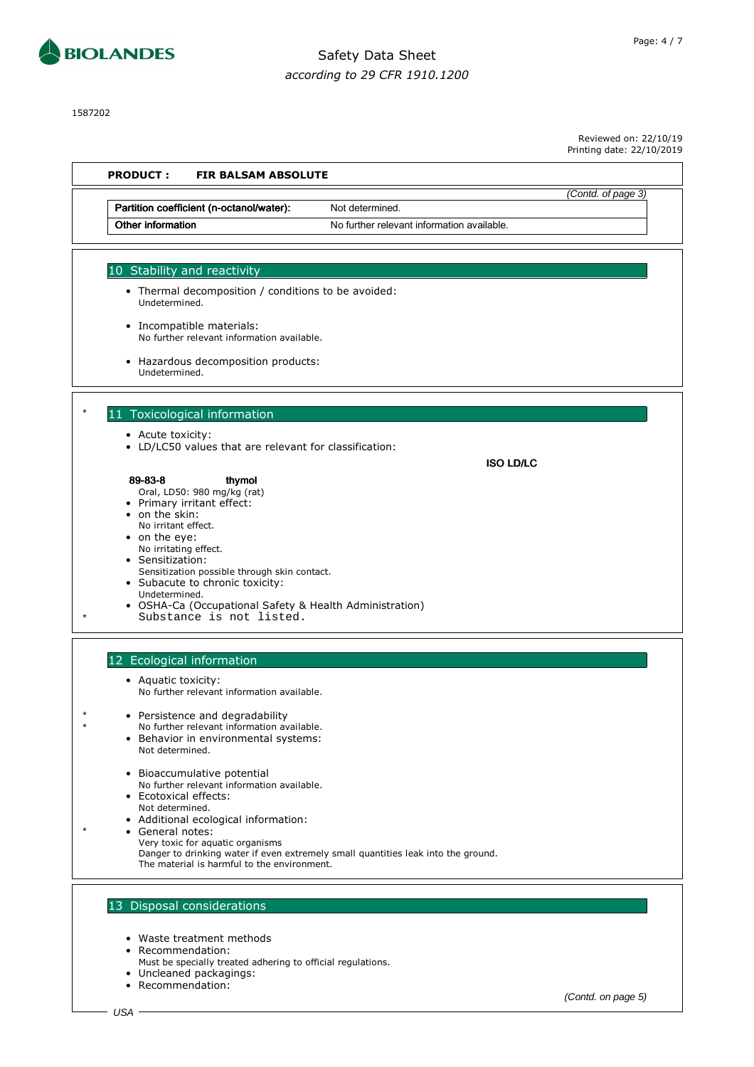

1587202

Reviewed on: 22/10/19

Printing date: 22/10/2019 **PRODUCT : FIR BALSAM ABSOLUTE** (Contd. of page 3) Partition coefficient (n-octanol/water): Not determined. Other information **No further relevant information available.** 10 Stability and reactivity • Thermal decomposition / conditions to be avoided: Undetermined. • Incompatible materials: No further relevant information available. • Hazardous decomposition products: Undetermined. 11 Toxicological information • Acute toxicity: • LD/LC50 values that are relevant for classification: ISO LD/LC 89-83-8 thymol 89-83-8 thymol Oral, LD50: 980 mg/kg (rat) • Primary irritant effect: on the skin: No irritant effect. • on the eye: No irritating effect. Sensitization: Sensitization possible through skin contact. Subacute to chronic toxicity: Undetermined. • OSHA-Ca (Occupational Safety & Health Administration) Substance is not listed. 12 Ecological information • Aquatic toxicity: No further relevant information available. \* • Persistence and degradability No further relevant information available. • Behavior in environmental systems: Not determined. • Bioaccumulative potential No further relevant information available. • Ecotoxical effects: Not determined. • Additional ecological information: General notes: Very toxic for aquatic organisms Danger to drinking water if even extremely small quantities leak into the ground. The material is harmful to the environment. 13 Disposal considerations

- Waste treatment methods
- Recommendation:
- Must be specially treated adhering to official regulations.
- Uncleaned packagings:
- Recommendation:

(Contd. on page 5)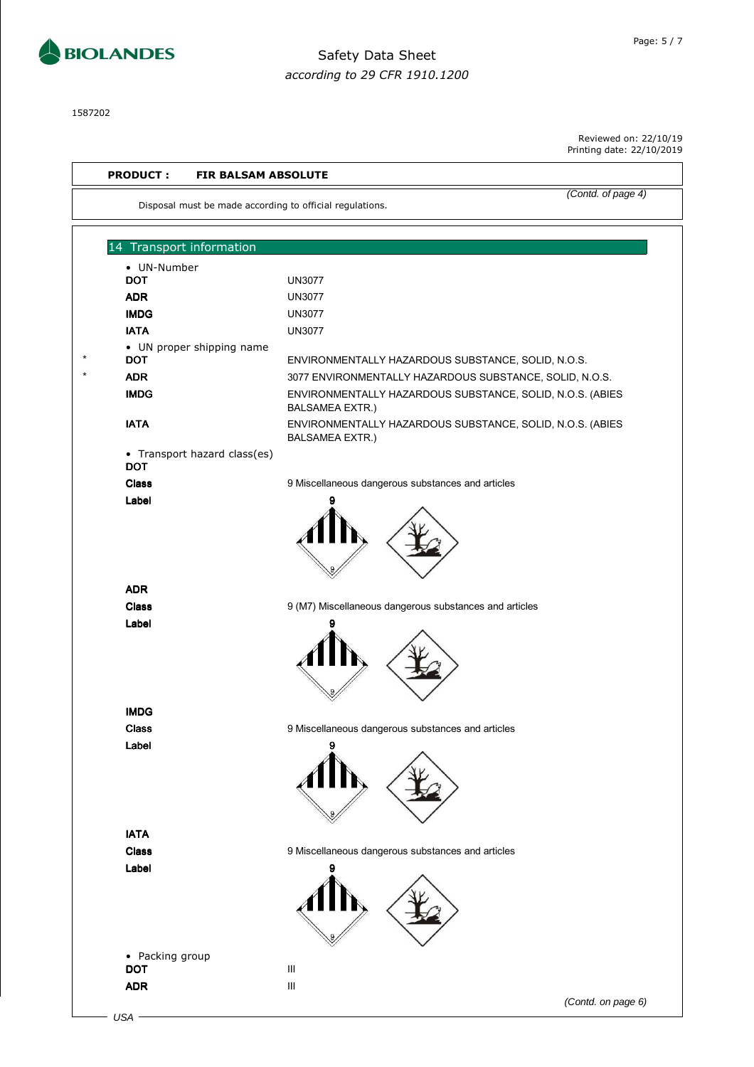

1587202

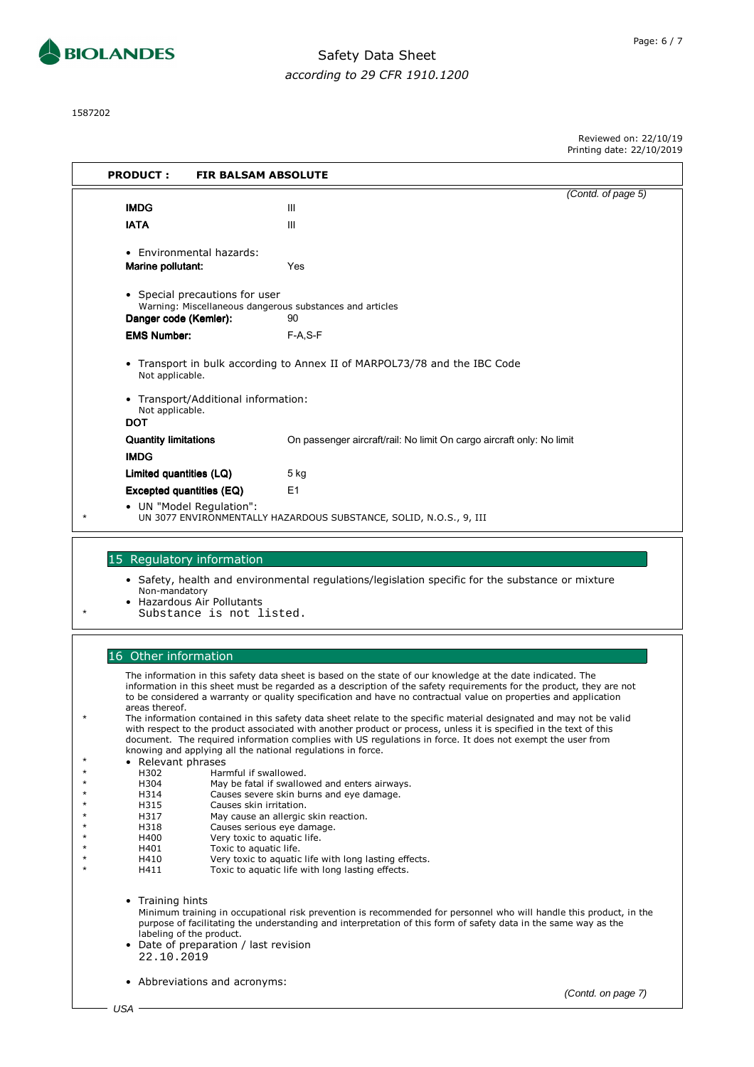

1587202

į.

| <b>PRODUCT:</b><br><b>FIR BALSAM ABSOLUTE</b>                                                                                                                                                                                                                                                                                                                                                                          |                                                                                                                                                                                                                                       |                    |  |  |  |
|------------------------------------------------------------------------------------------------------------------------------------------------------------------------------------------------------------------------------------------------------------------------------------------------------------------------------------------------------------------------------------------------------------------------|---------------------------------------------------------------------------------------------------------------------------------------------------------------------------------------------------------------------------------------|--------------------|--|--|--|
| <b>IMDG</b>                                                                                                                                                                                                                                                                                                                                                                                                            | Ш                                                                                                                                                                                                                                     | (Contd. of page 5) |  |  |  |
| <b>IATA</b>                                                                                                                                                                                                                                                                                                                                                                                                            | Ш                                                                                                                                                                                                                                     |                    |  |  |  |
| • Environmental hazards:<br>Marine pollutant:                                                                                                                                                                                                                                                                                                                                                                          | Yes                                                                                                                                                                                                                                   |                    |  |  |  |
| • Special precautions for user<br>Warning: Miscellaneous dangerous substances and articles<br>Danger code (Kemler):<br>90                                                                                                                                                                                                                                                                                              |                                                                                                                                                                                                                                       |                    |  |  |  |
| <b>EMS Number:</b>                                                                                                                                                                                                                                                                                                                                                                                                     | $F-A.S-F$                                                                                                                                                                                                                             |                    |  |  |  |
| • Transport in bulk according to Annex II of MARPOL73/78 and the IBC Code<br>Not applicable.                                                                                                                                                                                                                                                                                                                           |                                                                                                                                                                                                                                       |                    |  |  |  |
| • Transport/Additional information:<br>Not applicable.<br><b>DOT</b>                                                                                                                                                                                                                                                                                                                                                   |                                                                                                                                                                                                                                       |                    |  |  |  |
| <b>Quantity limitations</b><br><b>IMDG</b>                                                                                                                                                                                                                                                                                                                                                                             | On passenger aircraft/rail: No limit On cargo aircraft only: No limit                                                                                                                                                                 |                    |  |  |  |
| Limited quantities (LQ)                                                                                                                                                                                                                                                                                                                                                                                                | 5 kg                                                                                                                                                                                                                                  |                    |  |  |  |
| Excepted quantities (EQ)                                                                                                                                                                                                                                                                                                                                                                                               | E1                                                                                                                                                                                                                                    |                    |  |  |  |
| • UN "Model Requlation":                                                                                                                                                                                                                                                                                                                                                                                               | UN 3077 ENVIRONMENTALLY HAZARDOUS SUBSTANCE, SOLID, N.O.S., 9, III                                                                                                                                                                    |                    |  |  |  |
|                                                                                                                                                                                                                                                                                                                                                                                                                        |                                                                                                                                                                                                                                       |                    |  |  |  |
| 15 Regulatory information<br>Non-mandatory<br>• Hazardous Air Pollutants<br>Substance is not listed.                                                                                                                                                                                                                                                                                                                   | • Safety, health and environmental regulations/legislation specific for the substance or mixture                                                                                                                                      |                    |  |  |  |
|                                                                                                                                                                                                                                                                                                                                                                                                                        |                                                                                                                                                                                                                                       |                    |  |  |  |
| 16 Other information<br>The information in this safety data sheet is based on the state of our knowledge at the date indicated. The<br>information in this sheet must be regarded as a description of the safety requirements for the product, they are not<br>to be considered a warranty or quality specification and have no contractual value on properties and application<br>areas thereof.                      |                                                                                                                                                                                                                                       |                    |  |  |  |
| The information contained in this safety data sheet relate to the specific material designated and may not be valid<br>with respect to the product associated with another product or process, unless it is specified in the text of this<br>document. The required information complies with US regulations in force. It does not exempt the user from<br>knowing and applying all the national regulations in force. |                                                                                                                                                                                                                                       |                    |  |  |  |
| • Relevant phrases<br>H302<br>Harmful if swallowed.                                                                                                                                                                                                                                                                                                                                                                    |                                                                                                                                                                                                                                       |                    |  |  |  |
| H304                                                                                                                                                                                                                                                                                                                                                                                                                   | May be fatal if swallowed and enters airways.                                                                                                                                                                                         |                    |  |  |  |
| Causes severe skin burns and eye damage.<br>H314<br>H315<br>Causes skin irritation.                                                                                                                                                                                                                                                                                                                                    |                                                                                                                                                                                                                                       |                    |  |  |  |
| H317<br>May cause an allergic skin reaction.                                                                                                                                                                                                                                                                                                                                                                           |                                                                                                                                                                                                                                       |                    |  |  |  |
| H318<br>Causes serious eye damage.<br>H400<br>Very toxic to aquatic life.                                                                                                                                                                                                                                                                                                                                              |                                                                                                                                                                                                                                       |                    |  |  |  |
| Toxic to aquatic life.<br>H401                                                                                                                                                                                                                                                                                                                                                                                         |                                                                                                                                                                                                                                       |                    |  |  |  |
| H410<br>H411                                                                                                                                                                                                                                                                                                                                                                                                           | Very toxic to aquatic life with long lasting effects.<br>Toxic to aquatic life with long lasting effects.                                                                                                                             |                    |  |  |  |
| • Training hints<br>labeling of the product.<br>• Date of preparation / last revision<br>22.10.2019                                                                                                                                                                                                                                                                                                                    | Minimum training in occupational risk prevention is recommended for personnel who will handle this product, in the<br>purpose of facilitating the understanding and interpretation of this form of safety data in the same way as the |                    |  |  |  |
| • Abbreviations and acronyms:                                                                                                                                                                                                                                                                                                                                                                                          |                                                                                                                                                                                                                                       | (Contd. on page 7) |  |  |  |
| USA                                                                                                                                                                                                                                                                                                                                                                                                                    |                                                                                                                                                                                                                                       |                    |  |  |  |